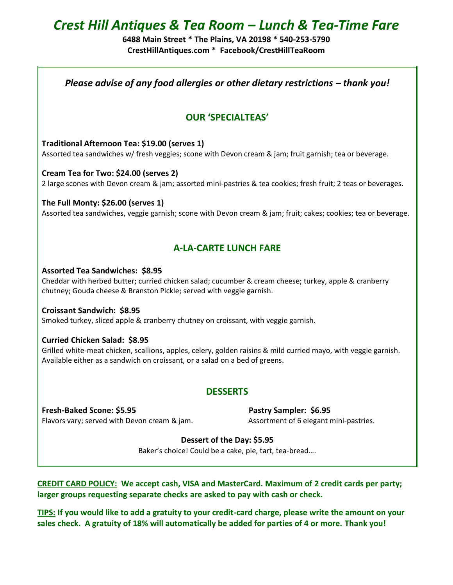# *Crest Hill Antiques & Tea Room – Lunch & Tea-Time Fare*

**6488 Main Street \* The Plains, VA 20198 \* 540-253-5790 CrestHillAntiques.com \* Facebook/CrestHillTeaRoom**

*Please advise of any food allergies or other dietary restrictions – thank you!* 

## **OUR 'SPECIALTEAS'**

**Traditional Afternoon Tea: \$19.00 (serves 1)** Assorted tea sandwiches w/ fresh veggies; scone with Devon cream & jam; fruit garnish; tea or beverage.

**Cream Tea for Two: \$24.00 (serves 2)**  2 large scones with Devon cream & jam; assorted mini-pastries & tea cookies; fresh fruit; 2 teas or beverages.

**The Full Monty: \$26.00 (serves 1)** Assorted tea sandwiches, veggie garnish; scone with Devon cream & jam; fruit; cakes; cookies; tea or beverage.

## **A-LA-CARTE LUNCH FARE**

### **Assorted Tea Sandwiches: \$8.95**

Cheddar with herbed butter; curried chicken salad; cucumber & cream cheese; turkey, apple & cranberry chutney; Gouda cheese & Branston Pickle; served with veggie garnish.

**Croissant Sandwich: \$8.95**

Smoked turkey, sliced apple & cranberry chutney on croissant, with veggie garnish.

### **Curried Chicken Salad: \$8.95**

Grilled white-meat chicken, scallions, apples, celery, golden raisins & mild curried mayo, with veggie garnish. Available either as a sandwich on croissant, or a salad on a bed of greens.

## **DESSERTS**

Fresh-Baked Scone: \$5.95 Pastry Sampler: \$6.95 Flavors vary; served with Devon cream & jam. Assortment of 6 elegant mini-pastries.

### **Dessert of the Day: \$5.95**

Baker's choice! Could be a cake, pie, tart, tea-bread….

**CREDIT CARD POLICY: We accept cash, VISA and MasterCard. Maximum of 2 credit cards per party; larger groups requesting separate checks are asked to pay with cash or check.**

**TIPS: If you would like to add a gratuity to your credit-card charge, please write the amount on your sales check. A gratuity of 18% will automatically be added for parties of 4 or more. Thank you!**